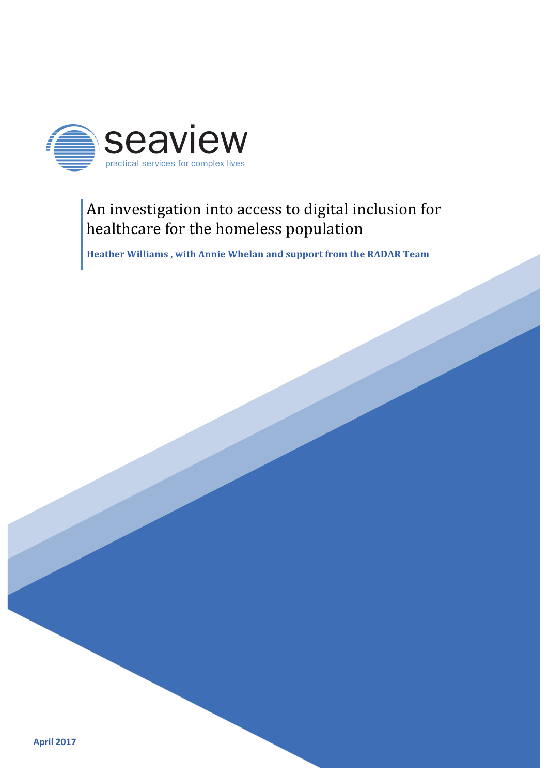

# An investigation into access to digital inclusion for healthcare for the homeless population

Heather Williams, with Annie Whelan and support from the RADAR Team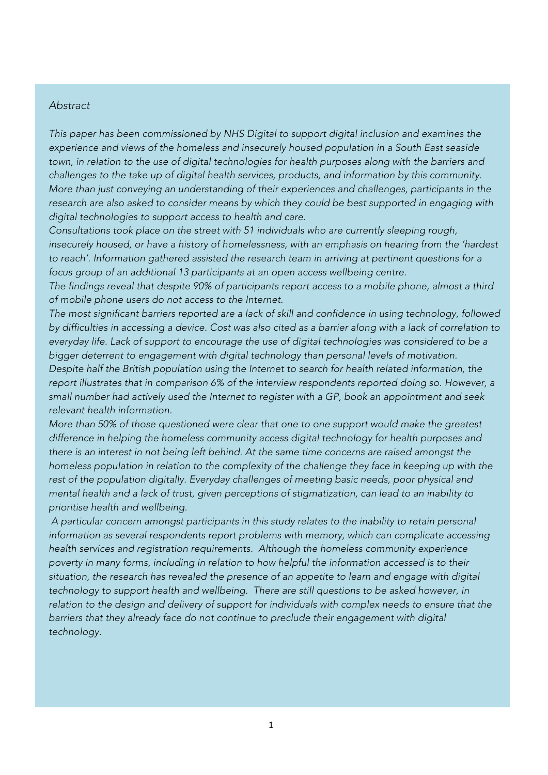### *Abstract*

*This paper has been commissioned by NHS Digital to support digital inclusion and examines the experience and views of the homeless and insecurely housed population in a South East seaside*  town, in relation to the use of digital technologies for health purposes along with the barriers and *challenges to the take up of digital health services, products, and information by this community. More than just conveying an understanding of their experiences and challenges, participants in the research are also asked to consider means by which they could be best supported in engaging with digital technologies to support access to health and care.*

*Consultations took place on the street with 51 individuals who are currently sleeping rough, insecurely housed, or have a history of homelessness, with an emphasis on hearing from the 'hardest to reach'. Information gathered assisted the research team in arriving at pertinent questions for a focus group of an additional 13 participants at an open access wellbeing centre.*

*The findings reveal that despite 90% of participants report access to a mobile phone, almost a third of mobile phone users do not access to the Internet.* 

*The most significant barriers reported are a lack of skill and confidence in using technology, followed by difficulties in accessing a device. Cost was also cited as a barrier along with a lack of correlation to everyday life. Lack of support to encourage the use of digital technologies was considered to be a bigger deterrent to engagement with digital technology than personal levels of motivation. Despite half the British population using the Internet to search for health related information, the report illustrates that in comparison 6% of the interview respondents reported doing so. However, a small number had actively used the Internet to register with a GP, book an appointment and seek relevant health information.*

*More than 50% of those questioned were clear that one to one support would make the greatest difference in helping the homeless community access digital technology for health purposes and there is an interest in not being left behind. At the same time concerns are raised amongst the homeless population in relation to the complexity of the challenge they face in keeping up with the*  rest of the population digitally. Everyday challenges of meeting basic needs, poor physical and *mental health and a lack of trust, given perceptions of stigmatization, can lead to an inability to prioritise health and wellbeing.* 

*A particular concern amongst participants in this study relates to the inability to retain personal information as several respondents report problems with memory, which can complicate accessing health services and registration requirements. Although the homeless community experience poverty in many forms, including in relation to how helpful the information accessed is to their situation, the research has revealed the presence of an appetite to learn and engage with digital technology to support health and wellbeing. There are still questions to be asked however, in*  relation to the design and delivery of support for individuals with complex needs to ensure that the *barriers that they already face do not continue to preclude their engagement with digital technology.*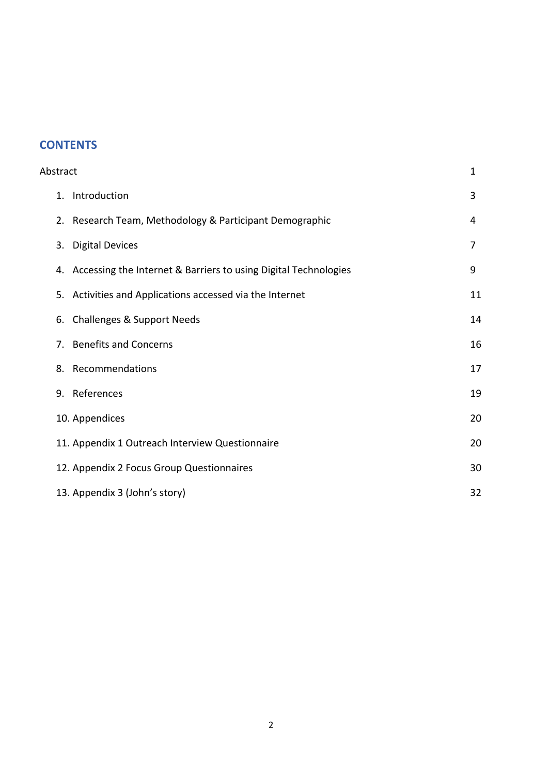# **CONTENTS**

| Abstract    |                                                                    | $\mathbf{1}$ |
|-------------|--------------------------------------------------------------------|--------------|
|             | 1. Introduction                                                    | 3            |
|             | 2. Research Team, Methodology & Participant Demographic            | 4            |
| 3.          | <b>Digital Devices</b>                                             | 7            |
|             | 4. Accessing the Internet & Barriers to using Digital Technologies | 9            |
| 5.          | Activities and Applications accessed via the Internet              | 11           |
|             | 6. Challenges & Support Needs                                      | 14           |
| $7_{\cdot}$ | <b>Benefits and Concerns</b>                                       | 16           |
|             | 8. Recommendations                                                 | 17           |
|             | 9. References                                                      | 19           |
|             | 10. Appendices                                                     | 20           |
|             | 11. Appendix 1 Outreach Interview Questionnaire                    | 20           |
|             | 12. Appendix 2 Focus Group Questionnaires                          | 30           |
|             | 13. Appendix 3 (John's story)                                      | 32           |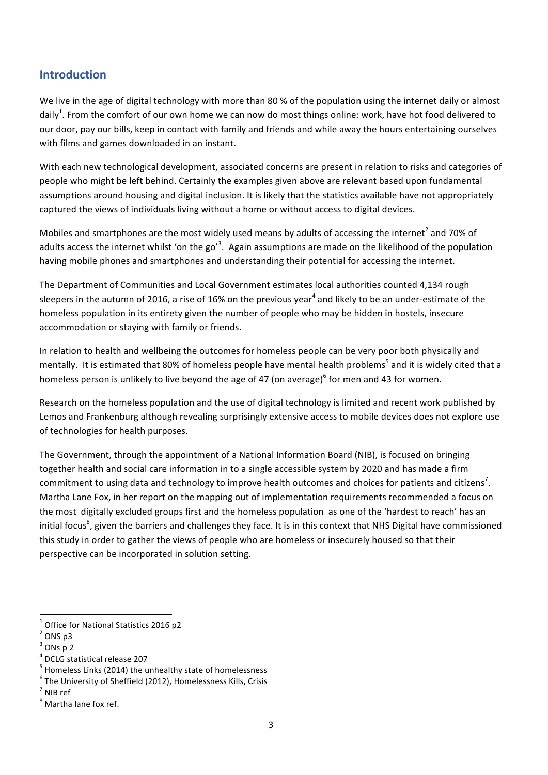### **Introduction**

We live in the age of digital technology with more than 80 % of the population using the internet daily or almost daily<sup>1</sup>. From the comfort of our own home we can now do most things online: work, have hot food delivered to our door, pay our bills, keep in contact with family and friends and while away the hours entertaining ourselves with films and games downloaded in an instant.

With each new technological development, associated concerns are present in relation to risks and categories of people who might be left behind. Certainly the examples given above are relevant based upon fundamental assumptions around housing and digital inclusion. It is likely that the statistics available have not appropriately captured the views of individuals living without a home or without access to digital devices.

Mobiles and smartphones are the most widely used means by adults of accessing the internet<sup>2</sup> and 70% of adults access the internet whilst 'on the go'<sup>3</sup>. Again assumptions are made on the likelihood of the population having mobile phones and smartphones and understanding their potential for accessing the internet.

The Department of Communities and Local Government estimates local authorities counted 4,134 rough sleepers in the autumn of 2016, a rise of 16% on the previous year<sup>4</sup> and likely to be an under-estimate of the homeless population in its entirety given the number of people who may be hidden in hostels, insecure accommodation or staying with family or friends.

In relation to health and wellbeing the outcomes for homeless people can be very poor both physically and mentally. It is estimated that 80% of homeless people have mental health problems<sup>5</sup> and it is widely cited that a homeless person is unlikely to live beyond the age of 47 (on average)<sup>6</sup> for men and 43 for women.

Research on the homeless population and the use of digital technology is limited and recent work published by Lemos and Frankenburg although revealing surprisingly extensive access to mobile devices does not explore use of technologies for health purposes.

The Government, through the appointment of a National Information Board (NIB), is focused on bringing together health and social care information in to a single accessible system by 2020 and has made a firm commitment to using data and technology to improve health outcomes and choices for patients and citizens<sup>7</sup>. Martha Lane Fox, in her report on the mapping out of implementation requirements recommended a focus on the most digitally excluded groups first and the homeless population as one of the 'hardest to reach' has an initial focus<sup>8</sup>, given the barriers and challenges they face. It is in this context that NHS Digital have commissioned this study in order to gather the views of people who are homeless or insecurely housed so that their perspective can be incorporated in solution setting.

 $1$  Office for National Statistics 2016 p2

 $2$  ONS p3

 $3$  ONs p 2

 $^4$  DCLG statistical release 207<br> $^5$  Homeless Links (2014) the unhealthy state of homelessness

 $6$  The University of Sheffield (2012), Homelessness Kills, Crisis

<sup>7</sup> NIB ref

<sup>8</sup> Martha lane fox ref.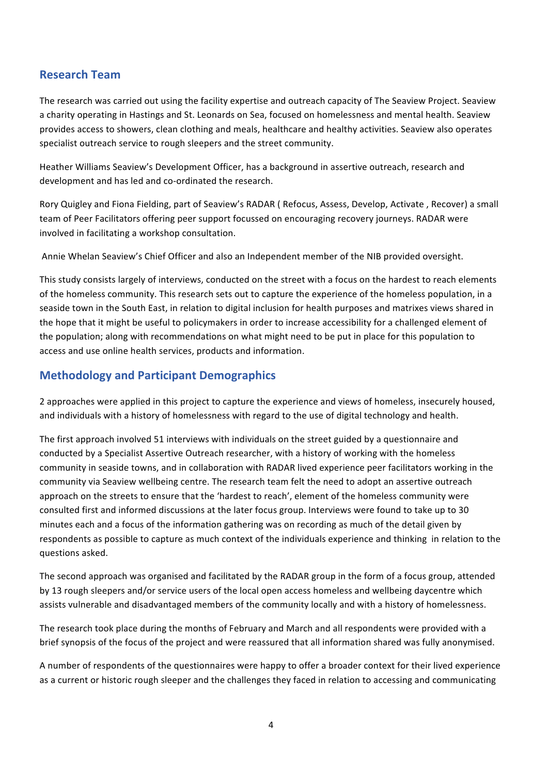### **Research Team**

The research was carried out using the facility expertise and outreach capacity of The Seaview Project. Seaview a charity operating in Hastings and St. Leonards on Sea, focused on homelessness and mental health. Seaview provides access to showers, clean clothing and meals, healthcare and healthy activities. Seaview also operates specialist outreach service to rough sleepers and the street community.

Heather Williams Seaview's Development Officer, has a background in assertive outreach, research and development and has led and co-ordinated the research.

Rory Quigley and Fiona Fielding, part of Seaview's RADAR ( Refocus, Assess, Develop, Activate , Recover) a small team of Peer Facilitators offering peer support focussed on encouraging recovery journeys. RADAR were involved in facilitating a workshop consultation.

Annie Whelan Seaview's Chief Officer and also an Independent member of the NIB provided oversight.

This study consists largely of interviews, conducted on the street with a focus on the hardest to reach elements of the homeless community. This research sets out to capture the experience of the homeless population, in a seaside town in the South East, in relation to digital inclusion for health purposes and matrixes views shared in the hope that it might be useful to policymakers in order to increase accessibility for a challenged element of the population; along with recommendations on what might need to be put in place for this population to access and use online health services, products and information.

### **Methodology and Participant Demographics**

2 approaches were applied in this project to capture the experience and views of homeless, insecurely housed, and individuals with a history of homelessness with regard to the use of digital technology and health.

The first approach involved 51 interviews with individuals on the street guided by a questionnaire and conducted by a Specialist Assertive Outreach researcher, with a history of working with the homeless community in seaside towns, and in collaboration with RADAR lived experience peer facilitators working in the community via Seaview wellbeing centre. The research team felt the need to adopt an assertive outreach approach on the streets to ensure that the 'hardest to reach', element of the homeless community were consulted first and informed discussions at the later focus group. Interviews were found to take up to 30 minutes each and a focus of the information gathering was on recording as much of the detail given by respondents as possible to capture as much context of the individuals experience and thinking in relation to the questions asked.

The second approach was organised and facilitated by the RADAR group in the form of a focus group, attended by 13 rough sleepers and/or service users of the local open access homeless and wellbeing daycentre which assists vulnerable and disadvantaged members of the community locally and with a history of homelessness.

The research took place during the months of February and March and all respondents were provided with a brief synopsis of the focus of the project and were reassured that all information shared was fully anonymised.

A number of respondents of the questionnaires were happy to offer a broader context for their lived experience as a current or historic rough sleeper and the challenges they faced in relation to accessing and communicating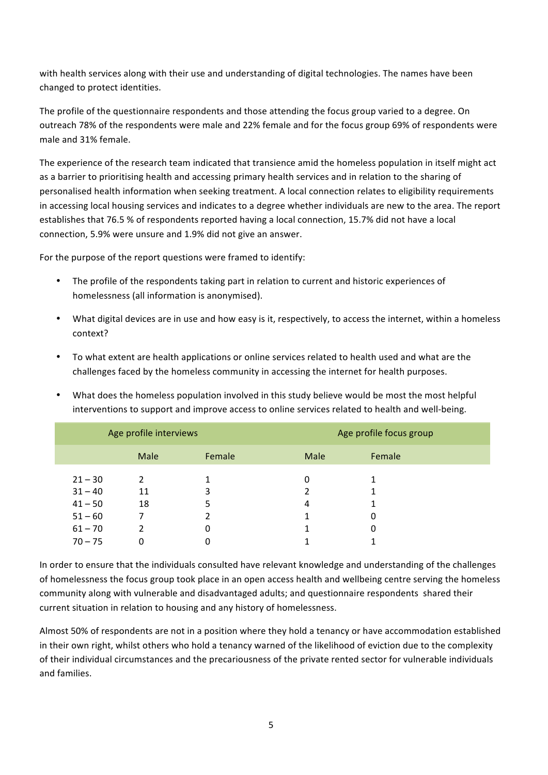with health services along with their use and understanding of digital technologies. The names have been changed to protect identities.

The profile of the questionnaire respondents and those attending the focus group varied to a degree. On outreach 78% of the respondents were male and 22% female and for the focus group 69% of respondents were male and 31% female.

The experience of the research team indicated that transience amid the homeless population in itself might act as a barrier to prioritising health and accessing primary health services and in relation to the sharing of personalised health information when seeking treatment. A local connection relates to eligibility requirements in accessing local housing services and indicates to a degree whether individuals are new to the area. The report establishes that 76.5 % of respondents reported having a local connection, 15.7% did not have a local connection, 5.9% were unsure and 1.9% did not give an answer.

For the purpose of the report questions were framed to identify:

- The profile of the respondents taking part in relation to current and historic experiences of homelessness (all information is anonymised).
- What digital devices are in use and how easy is it, respectively, to access the internet, within a homeless context?
- To what extent are health applications or online services related to health used and what are the challenges faced by the homeless community in accessing the internet for health purposes.
- What does the homeless population involved in this study believe would be most the most helpful interventions to support and improve access to online services related to health and well-being.

| Age profile interviews |      |        | Age profile focus group |        |  |
|------------------------|------|--------|-------------------------|--------|--|
|                        | Male | Female | Male                    | Female |  |
| $21 - 30$              | 2    |        | 0                       |        |  |
| $31 - 40$              | 11   | 3      |                         |        |  |
| $41 - 50$              | 18   |        | 4                       |        |  |
| $51 - 60$              |      |        |                         | 0      |  |
| $61 - 70$              | າ    | 0      |                         | 0      |  |
| $70 - 75$              | 0    | 0      |                         |        |  |

In order to ensure that the individuals consulted have relevant knowledge and understanding of the challenges of homelessness the focus group took place in an open access health and wellbeing centre serving the homeless community along with vulnerable and disadvantaged adults; and questionnaire respondents shared their current situation in relation to housing and any history of homelessness.

Almost 50% of respondents are not in a position where they hold a tenancy or have accommodation established in their own right, whilst others who hold a tenancy warned of the likelihood of eviction due to the complexity of their individual circumstances and the precariousness of the private rented sector for vulnerable individuals and families.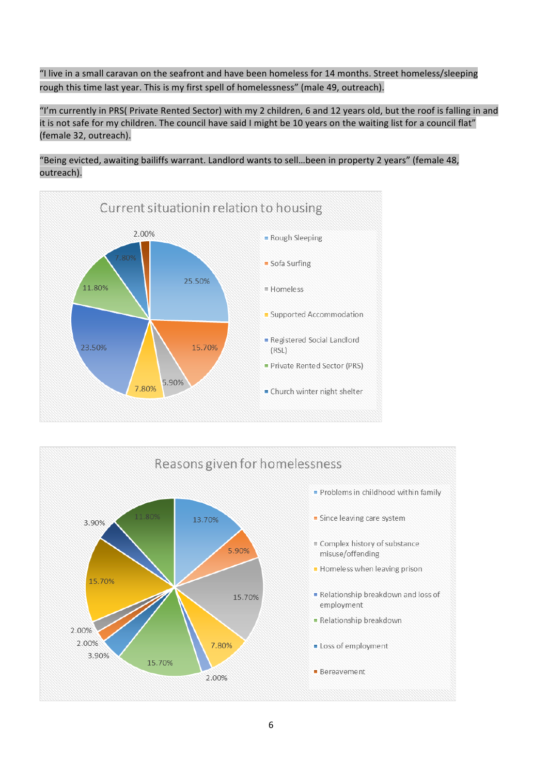"I live in a small caravan on the seafront and have been homeless for 14 months. Street homeless/sleeping rough this time last year. This is my first spell of homelessness" (male 49, outreach).

"I'm currently in PRS( Private Rented Sector) with my 2 children, 6 and 12 years old, but the roof is falling in and it is not safe for my children. The council have said I might be 10 years on the waiting list for a council flat" (female 32, outreach).

"Being evicted, awaiting bailiffs warrant. Landlord wants to sell…been in property 2 years" (female 48, outreach).



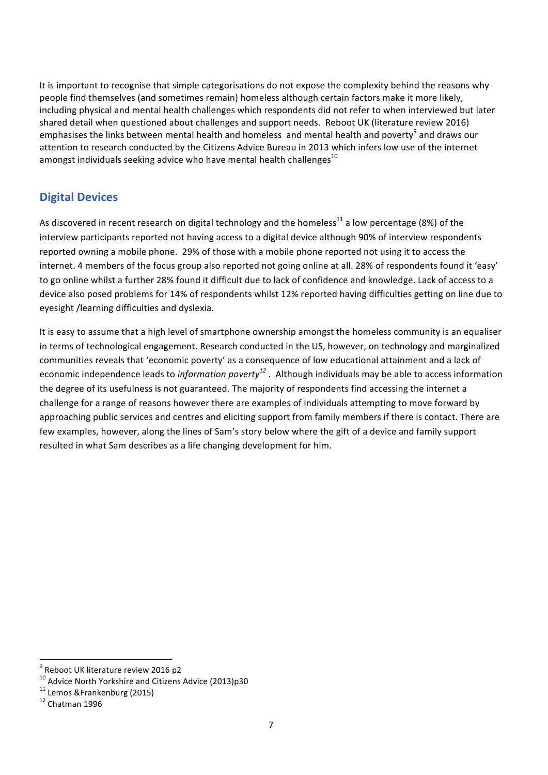It is important to recognise that simple categorisations do not expose the complexity behind the reasons why people find themselves (and sometimes remain) homeless although certain factors make it more likely, including physical and mental health challenges which respondents did not refer to when interviewed but later shared detail when questioned about challenges and support needs. Reboot UK (literature review 2016) emphasises the links between mental health and homeless and mental health and poverty<sup>9</sup> and draws our attention to research conducted by the Citizens Advice Bureau in 2013 which infers low use of the internet amongst individuals seeking advice who have mental health challenges<sup>10</sup>

# **Digital Devices**

As discovered in recent research on digital technology and the homeless<sup>11</sup> a low percentage (8%) of the interview participants reported not having access to a digital device although 90% of interview respondents reported owning a mobile phone. 29% of those with a mobile phone reported not using it to access the internet. 4 members of the focus group also reported not going online at all. 28% of respondents found it 'easy' to go online whilst a further 28% found it difficult due to lack of confidence and knowledge. Lack of access to a device also posed problems for 14% of respondents whilst 12% reported having difficulties getting on line due to eyesight /learning difficulties and dyslexia.

It is easy to assume that a high level of smartphone ownership amongst the homeless community is an equaliser in terms of technological engagement. Research conducted in the US, however, on technology and marginalized communities reveals that 'economic poverty' as a consequence of low educational attainment and a lack of economic independence leads to *information poverty12* . Although individuals may be able to access information the degree of its usefulness is not guaranteed. The majority of respondents find accessing the internet a challenge for a range of reasons however there are examples of individuals attempting to move forward by approaching public services and centres and eliciting support from family members if there is contact. There are few examples, however, along the lines of Sam's story below where the gift of a device and family support resulted in what Sam describes as a life changing development for him.

 $9$  Reboot UK literature review 2016 p2

<sup>&</sup>lt;sup>10</sup> Advice North Yorkshire and Citizens Advice (2013)p30<br><sup>11</sup> Lemos &Frankenburg (2015)<br><sup>12</sup> Chatman 1996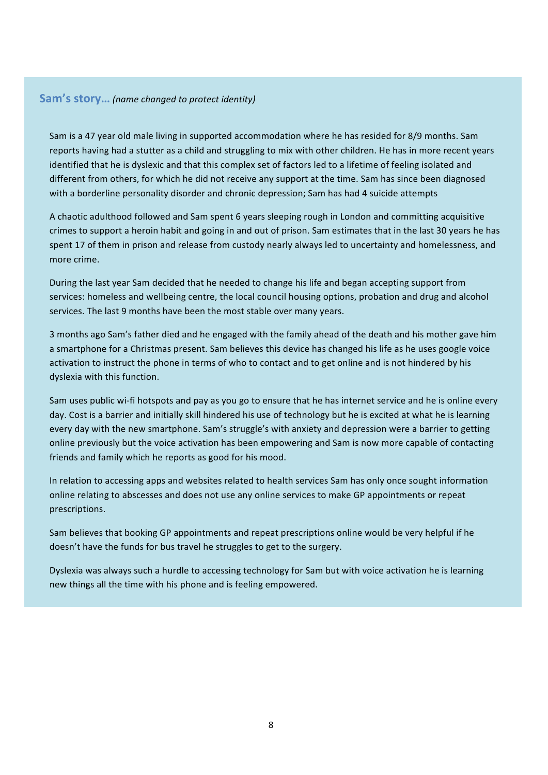### **Sam's story…** *(name changed to protect identity)*

Sam is a 47 year old male living in supported accommodation where he has resided for 8/9 months. Sam reports having had a stutter as a child and struggling to mix with other children. He has in more recent years identified that he is dyslexic and that this complex set of factors led to a lifetime of feeling isolated and different from others, for which he did not receive any support at the time. Sam has since been diagnosed with a borderline personality disorder and chronic depression; Sam has had 4 suicide attempts

A chaotic adulthood followed and Sam spent 6 years sleeping rough in London and committing acquisitive crimes to support a heroin habit and going in and out of prison. Sam estimates that in the last 30 years he has spent 17 of them in prison and release from custody nearly always led to uncertainty and homelessness, and more crime.

During the last year Sam decided that he needed to change his life and began accepting support from services: homeless and wellbeing centre, the local council housing options, probation and drug and alcohol services. The last 9 months have been the most stable over many years.

3 months ago Sam's father died and he engaged with the family ahead of the death and his mother gave him a smartphone for a Christmas present. Sam believes this device has changed his life as he uses google voice activation to instruct the phone in terms of who to contact and to get online and is not hindered by his dyslexia with this function.

Sam uses public wi-fi hotspots and pay as you go to ensure that he has internet service and he is online every day. Cost is a barrier and initially skill hindered his use of technology but he is excited at what he is learning every day with the new smartphone. Sam's struggle's with anxiety and depression were a barrier to getting online previously but the voice activation has been empowering and Sam is now more capable of contacting friends and family which he reports as good for his mood.

In relation to accessing apps and websites related to health services Sam has only once sought information online relating to abscesses and does not use any online services to make GP appointments or repeat prescriptions.

Sam believes that booking GP appointments and repeat prescriptions online would be very helpful if he doesn't have the funds for bus travel he struggles to get to the surgery.

Dyslexia was always such a hurdle to accessing technology for Sam but with voice activation he is learning new things all the time with his phone and is feeling empowered.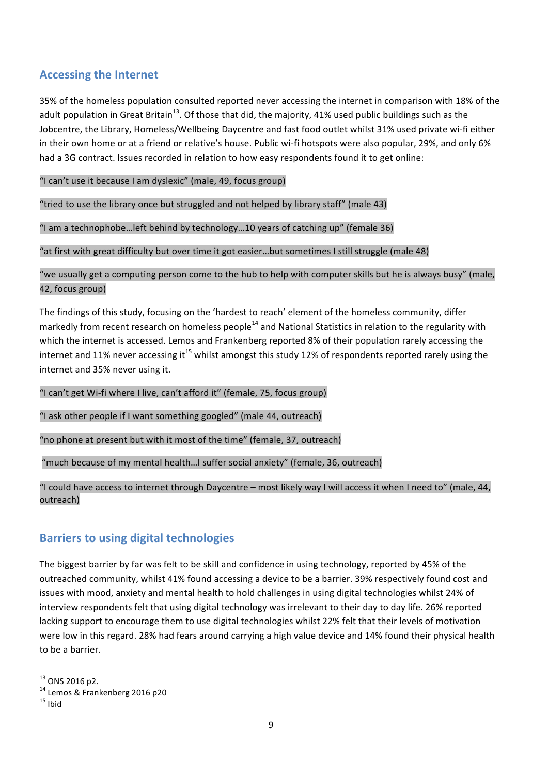## **Accessing the Internet**

35% of the homeless population consulted reported never accessing the internet in comparison with 18% of the adult population in Great Britain<sup>13</sup>. Of those that did, the majority, 41% used public buildings such as the Jobcentre, the Library, Homeless/Wellbeing Daycentre and fast food outlet whilst 31% used private wi-fi either in their own home or at a friend or relative's house. Public wi-fi hotspots were also popular, 29%, and only 6% had a 3G contract. Issues recorded in relation to how easy respondents found it to get online:

"I can't use it because I am dyslexic" (male, 49, focus group)

"tried to use the library once but struggled and not helped by library staff" (male 43)

"I am a technophobe…left behind by technology…10 years of catching up" (female 36)

"at first with great difficulty but over time it got easier…but sometimes I still struggle (male 48)

"we usually get a computing person come to the hub to help with computer skills but he is always busy" (male, 42, focus group)

The findings of this study, focusing on the 'hardest to reach' element of the homeless community, differ markedly from recent research on homeless people<sup>14</sup> and National Statistics in relation to the regularity with which the internet is accessed. Lemos and Frankenberg reported 8% of their population rarely accessing the internet and 11% never accessing it<sup>15</sup> whilst amongst this study 12% of respondents reported rarely using the internet and 35% never using it.

"I can't get Wi-fi where I live, can't afford it" (female, 75, focus group)

"I ask other people if I want something googled" (male 44, outreach)

"no phone at present but with it most of the time" (female, 37, outreach)

"much because of my mental health…I suffer social anxiety" (female, 36, outreach)

"I could have access to internet through Daycentre – most likely way I will access it when I need to" (male, 44, outreach)

### **Barriers to using digital technologies**

The biggest barrier by far was felt to be skill and confidence in using technology, reported by 45% of the outreached community, whilst 41% found accessing a device to be a barrier. 39% respectively found cost and issues with mood, anxiety and mental health to hold challenges in using digital technologies whilst 24% of interview respondents felt that using digital technology was irrelevant to their day to day life. 26% reported lacking support to encourage them to use digital technologies whilst 22% felt that their levels of motivation were low in this regard. 28% had fears around carrying a high value device and 14% found their physical health to be a barrier.

<sup>&</sup>lt;sup>13</sup> ONS 2016 p2.<br><sup>14</sup> Lemos & Frankenberg 2016 p20<br><sup>15</sup> Ibid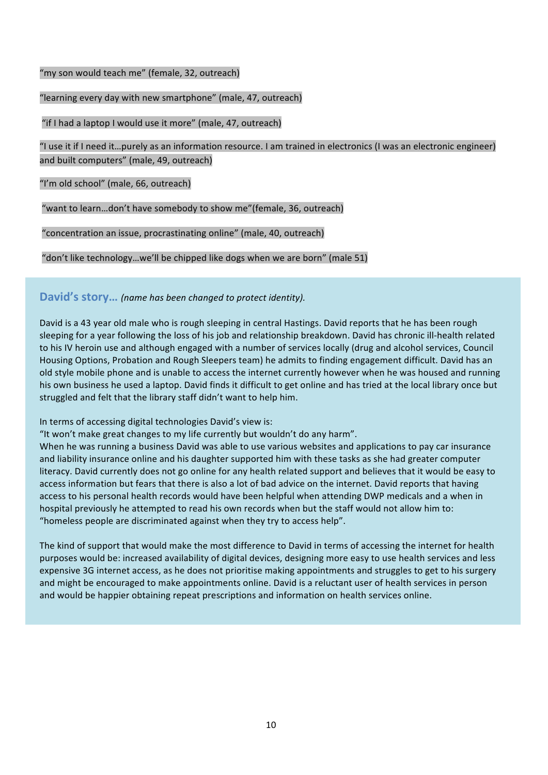"my son would teach me" (female, 32, outreach)

"learning every day with new smartphone" (male, 47, outreach)

"if I had a laptop I would use it more" (male, 47, outreach)

"I use it if I need it…purely as an information resource. I am trained in electronics (I was an electronic engineer) and built computers" (male, 49, outreach)

"I'm old school" (male, 66, outreach)

"want to learn…don't have somebody to show me"(female, 36, outreach)

"concentration an issue, procrastinating online" (male, 40, outreach)

"don't like technology…we'll be chipped like dogs when we are born" (male 51)

**David's story…** *(name has been changed to protect identity).*

David is a 43 year old male who is rough sleeping in central Hastings. David reports that he has been rough sleeping for a year following the loss of his job and relationship breakdown. David has chronic ill-health related to his IV heroin use and although engaged with a number of services locally (drug and alcohol services, Council Housing Options, Probation and Rough Sleepers team) he admits to finding engagement difficult. David has an old style mobile phone and is unable to access the internet currently however when he was housed and running his own business he used a laptop. David finds it difficult to get online and has tried at the local library once but struggled and felt that the library staff didn't want to help him.

In terms of accessing digital technologies David's view is:

"It won't make great changes to my life currently but wouldn't do any harm".

When he was running a business David was able to use various websites and applications to pay car insurance and liability insurance online and his daughter supported him with these tasks as she had greater computer literacy. David currently does not go online for any health related support and believes that it would be easy to access information but fears that there is also a lot of bad advice on the internet. David reports that having access to his personal health records would have been helpful when attending DWP medicals and a when in hospital previously he attempted to read his own records when but the staff would not allow him to: "homeless people are discriminated against when they try to access help".

The kind of support that would make the most difference to David in terms of accessing the internet for health purposes would be: increased availability of digital devices, designing more easy to use health services and less expensive 3G internet access, as he does not prioritise making appointments and struggles to get to his surgery and might be encouraged to make appointments online. David is a reluctant user of health services in person and would be happier obtaining repeat prescriptions and information on health services online.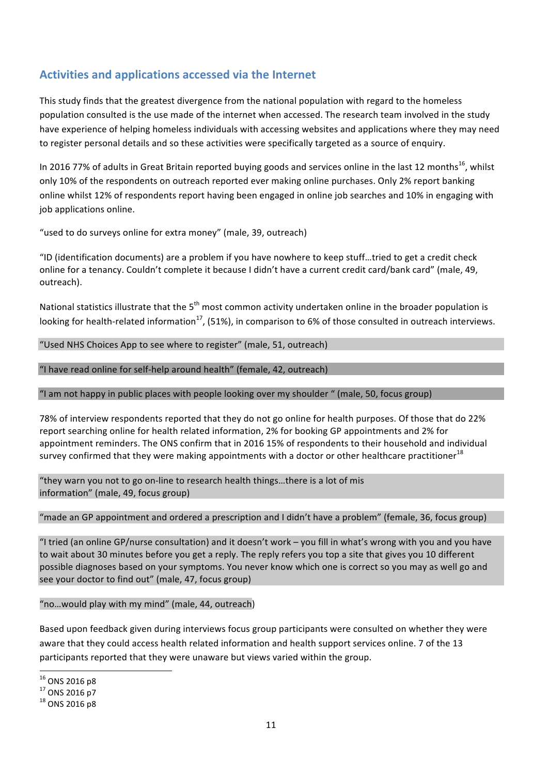# **Activities and applications accessed via the Internet**

This study finds that the greatest divergence from the national population with regard to the homeless population consulted is the use made of the internet when accessed. The research team involved in the study have experience of helping homeless individuals with accessing websites and applications where they may need to register personal details and so these activities were specifically targeted as a source of enquiry.

In 2016 77% of adults in Great Britain reported buying goods and services online in the last 12 months<sup>16</sup>, whilst only 10% of the respondents on outreach reported ever making online purchases. Only 2% report banking online whilst 12% of respondents report having been engaged in online job searches and 10% in engaging with job applications online.

"used to do surveys online for extra money" (male, 39, outreach)

"ID (identification documents) are a problem if you have nowhere to keep stuff…tried to get a credit check online for a tenancy. Couldn't complete it because I didn't have a current credit card/bank card" (male, 49, outreach).

National statistics illustrate that the 5<sup>th</sup> most common activity undertaken online in the broader population is looking for health-related information<sup>17</sup>, (51%), in comparison to 6% of those consulted in outreach interviews.

"Used NHS Choices App to see where to register" (male, 51, outreach)

"I have read online for self-help around health" (female, 42, outreach)

"I am not happy in public places with people looking over my shoulder " (male, 50, focus group)

78% of interview respondents reported that they do not go online for health purposes. Of those that do 22% report searching online for health related information, 2% for booking GP appointments and 2% for appointment reminders. The ONS confirm that in 2016 15% of respondents to their household and individual survey confirmed that they were making appointments with a doctor or other healthcare practitioner<sup>18</sup>

"they warn you not to go on-line to research health things…there is a lot of mis information" (male, 49, focus group)

"made an GP appointment and ordered a prescription and I didn't have a problem" (female, 36, focus group)

"I tried (an online GP/nurse consultation) and it doesn't work – you fill in what's wrong with you and you have to wait about 30 minutes before you get a reply. The reply refers you top a site that gives you 10 different possible diagnoses based on your symptoms. You never know which one is correct so you may as well go and see your doctor to find out" (male, 47, focus group)

"no…would play with my mind" (male, 44, outreach)

Based upon feedback given during interviews focus group participants were consulted on whether they were aware that they could access health related information and health support services online. 7 of the 13 participants reported that they were unaware but views varied within the group.

 $^{16}$  ONS 2016 p8<br> $^{17}$  ONS 2016 p7<br> $^{18}$  ONS 2016 p8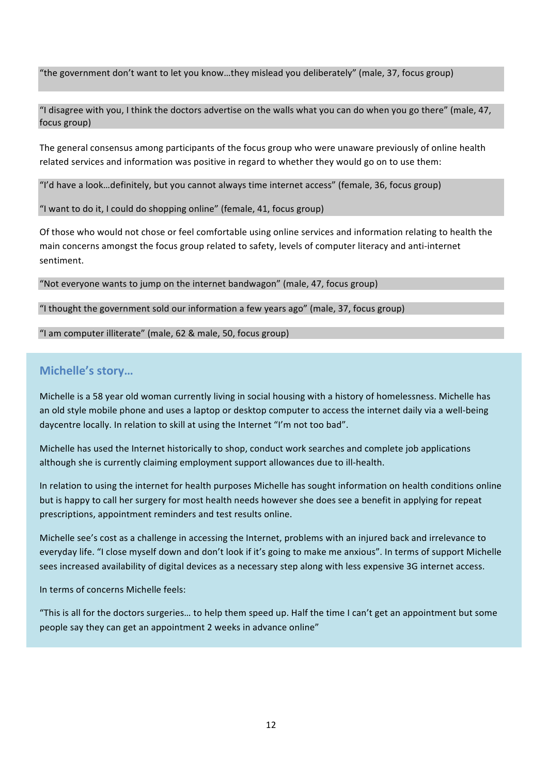"the government don't want to let you know…they mislead you deliberately" (male, 37, focus group)

"I disagree with you, I think the doctors advertise on the walls what you can do when you go there" (male, 47, focus group)

The general consensus among participants of the focus group who were unaware previously of online health related services and information was positive in regard to whether they would go on to use them:

"I'd have a look…definitely, but you cannot always time internet access" (female, 36, focus group)

"I want to do it, I could do shopping online" (female, 41, focus group)

Of those who would not chose or feel comfortable using online services and information relating to health the main concerns amongst the focus group related to safety, levels of computer literacy and anti-internet sentiment.

"Not everyone wants to jump on the internet bandwagon" (male, 47, focus group)

"I thought the government sold our information a few years ago" (male, 37, focus group)

"I am computer illiterate" (male, 62 & male, 50, focus group)

### **Michelle's story…**

Michelle is a 58 year old woman currently living in social housing with a history of homelessness. Michelle has an old style mobile phone and uses a laptop or desktop computer to access the internet daily via a well-being daycentre locally. In relation to skill at using the Internet "I'm not too bad".

Michelle has used the Internet historically to shop, conduct work searches and complete job applications although she is currently claiming employment support allowances due to ill-health.

In relation to using the internet for health purposes Michelle has sought information on health conditions online but is happy to call her surgery for most health needs however she does see a benefit in applying for repeat prescriptions, appointment reminders and test results online.

Michelle see's cost as a challenge in accessing the Internet, problems with an injured back and irrelevance to everyday life. "I close myself down and don't look if it's going to make me anxious". In terms of support Michelle sees increased availability of digital devices as a necessary step along with less expensive 3G internet access.

In terms of concerns Michelle feels:

"This is all for the doctors surgeries… to help them speed up. Half the time I can't get an appointment but some people say they can get an appointment 2 weeks in advance online"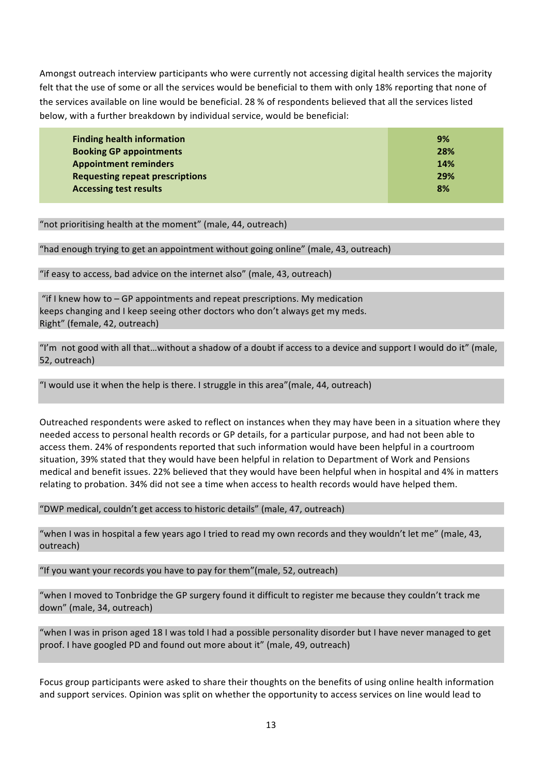Amongst outreach interview participants who were currently not accessing digital health services the majority felt that the use of some or all the services would be beneficial to them with only 18% reporting that none of the services available on line would be beneficial. 28 % of respondents believed that all the services listed below, with a further breakdown by individual service, would be beneficial:

| <b>Finding health information</b>      | 9%  |
|----------------------------------------|-----|
| <b>Booking GP appointments</b>         | 28% |
| <b>Appointment reminders</b>           | 14% |
| <b>Requesting repeat prescriptions</b> | 29% |
| <b>Accessing test results</b>          | 8%  |

"not prioritising health at the moment" (male, 44, outreach)

#### "had enough trying to get an appointment without going online" (male, 43, outreach)

"if easy to access, bad advice on the internet also" (male, 43, outreach)

"if I knew how to – GP appointments and repeat prescriptions. My medication keeps changing and I keep seeing other doctors who don't always get my meds. Right" (female, 42, outreach)

"I'm not good with all that…without a shadow of a doubt if access to a device and support I would do it" (male, 52, outreach)

"I would use it when the help is there. I struggle in this area"(male, 44, outreach)

Outreached respondents were asked to reflect on instances when they may have been in a situation where they needed access to personal health records or GP details, for a particular purpose, and had not been able to access them. 24% of respondents reported that such information would have been helpful in a courtroom situation, 39% stated that they would have been helpful in relation to Department of Work and Pensions medical and benefit issues. 22% believed that they would have been helpful when in hospital and 4% in matters relating to probation. 34% did not see a time when access to health records would have helped them.

"DWP medical, couldn't get access to historic details" (male, 47, outreach)

"when I was in hospital a few years ago I tried to read my own records and they wouldn't let me" (male, 43, outreach)

"If you want your records you have to pay for them"(male, 52, outreach)

"when I moved to Tonbridge the GP surgery found it difficult to register me because they couldn't track me down" (male, 34, outreach)

"when I was in prison aged 18 I was told I had a possible personality disorder but I have never managed to get proof. I have googled PD and found out more about it" (male, 49, outreach)

Focus group participants were asked to share their thoughts on the benefits of using online health information and support services. Opinion was split on whether the opportunity to access services on line would lead to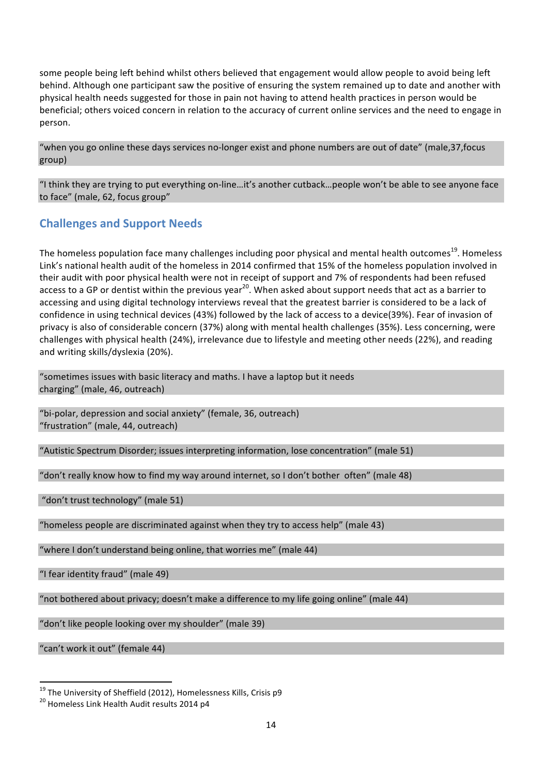some people being left behind whilst others believed that engagement would allow people to avoid being left behind. Although one participant saw the positive of ensuring the system remained up to date and another with physical health needs suggested for those in pain not having to attend health practices in person would be beneficial; others voiced concern in relation to the accuracy of current online services and the need to engage in person.

"when you go online these days services no-longer exist and phone numbers are out of date" (male,37,focus group)

"I think they are trying to put everything on-line…it's another cutback…people won't be able to see anyone face to face" (male, 62, focus group"

### **Challenges and Support Needs**

The homeless population face many challenges including poor physical and mental health outcomes<sup>19</sup>. Homeless Link's national health audit of the homeless in 2014 confirmed that 15% of the homeless population involved in their audit with poor physical health were not in receipt of support and 7% of respondents had been refused access to a GP or dentist within the previous year<sup>20</sup>. When asked about support needs that act as a barrier to accessing and using digital technology interviews reveal that the greatest barrier is considered to be a lack of confidence in using technical devices (43%) followed by the lack of access to a device(39%). Fear of invasion of privacy is also of considerable concern (37%) along with mental health challenges (35%). Less concerning, were challenges with physical health (24%), irrelevance due to lifestyle and meeting other needs (22%), and reading and writing skills/dyslexia (20%).

"sometimes issues with basic literacy and maths. I have a laptop but it needs charging" (male, 46, outreach)

"bi-polar, depression and social anxiety" (female, 36, outreach) "frustration" (male, 44, outreach)

"Autistic Spectrum Disorder; issues interpreting information, lose concentration" (male 51)

"don't really know how to find my way around internet, so I don't bother often" (male 48)

"don't trust technology" (male 51)

"homeless people are discriminated against when they try to access help" (male 43)

"where I don't understand being online, that worries me" (male 44)

"I fear identity fraud" (male 49)

"not bothered about privacy; doesn't make a difference to my life going online" (male 44)

"don't like people looking over my shoulder" (male 39)

"can't work it out" (female 44)

<sup>&</sup>lt;sup>19</sup> The University of Sheffield (2012), Homelessness Kills, Crisis p9<br><sup>20</sup> Homeless Link Health Audit results 2014 p4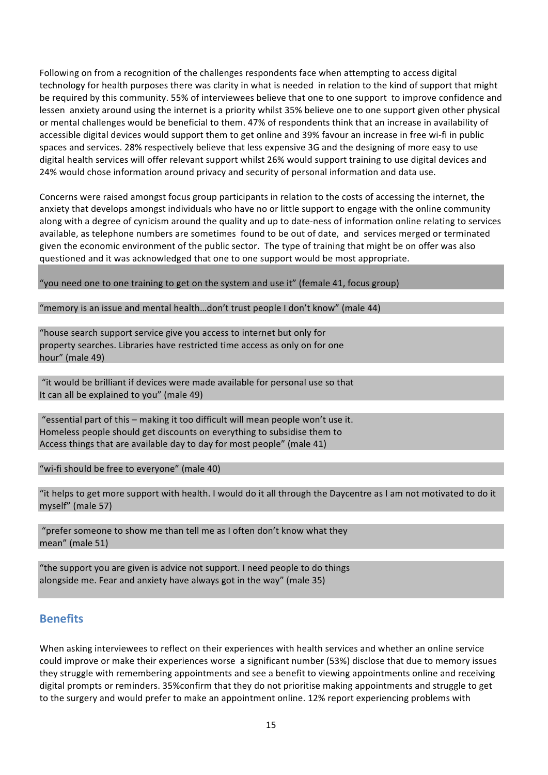Following on from a recognition of the challenges respondents face when attempting to access digital technology for health purposes there was clarity in what is needed in relation to the kind of support that might be required by this community. 55% of interviewees believe that one to one support to improve confidence and lessen anxiety around using the internet is a priority whilst 35% believe one to one support given other physical or mental challenges would be beneficial to them. 47% of respondents think that an increase in availability of accessible digital devices would support them to get online and 39% favour an increase in free wi-fi in public spaces and services. 28% respectively believe that less expensive 3G and the designing of more easy to use digital health services will offer relevant support whilst 26% would support training to use digital devices and 24% would chose information around privacy and security of personal information and data use.

Concerns were raised amongst focus group participants in relation to the costs of accessing the internet, the anxiety that develops amongst individuals who have no or little support to engage with the online community along with a degree of cynicism around the quality and up to date-ness of information online relating to services available, as telephone numbers are sometimes found to be out of date, and services merged or terminated given the economic environment of the public sector. The type of training that might be on offer was also questioned and it was acknowledged that one to one support would be most appropriate.

"you need one to one training to get on the system and use it" (female 41, focus group)

"memory is an issue and mental health…don't trust people I don't know" (male 44)

"house search support service give you access to internet but only for property searches. Libraries have restricted time access as only on for one hour" (male 49)

"it would be brilliant if devices were made available for personal use so that It can all be explained to you" (male 49)

"essential part of this – making it too difficult will mean people won't use it. Homeless people should get discounts on everything to subsidise them to Access things that are available day to day for most people" (male 41)

"wi-fi should be free to everyone" (male 40)

"it helps to get more support with health. I would do it all through the Daycentre as I am not motivated to do it myself" (male 57)

"prefer someone to show me than tell me as I often don't know what they mean" (male 51)

"the support you are given is advice not support. I need people to do things alongside me. Fear and anxiety have always got in the way" (male 35)

### **Benefits**

When asking interviewees to reflect on their experiences with health services and whether an online service could improve or make their experiences worse a significant number (53%) disclose that due to memory issues they struggle with remembering appointments and see a benefit to viewing appointments online and receiving digital prompts or reminders. 35%confirm that they do not prioritise making appointments and struggle to get to the surgery and would prefer to make an appointment online. 12% report experiencing problems with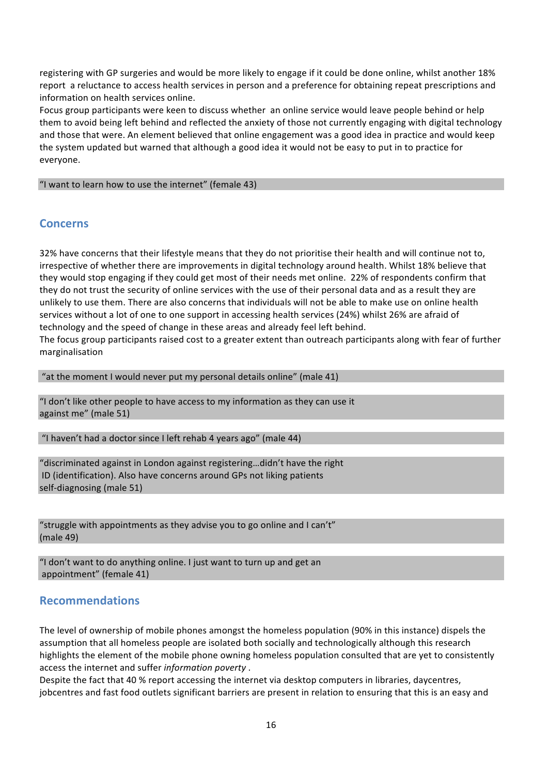registering with GP surgeries and would be more likely to engage if it could be done online, whilst another 18% report a reluctance to access health services in person and a preference for obtaining repeat prescriptions and information on health services online.

Focus group participants were keen to discuss whether an online service would leave people behind or help them to avoid being left behind and reflected the anxiety of those not currently engaging with digital technology and those that were. An element believed that online engagement was a good idea in practice and would keep the system updated but warned that although a good idea it would not be easy to put in to practice for everyone.

"I want to learn how to use the internet" (female 43)

### **Concerns**

32% have concerns that their lifestyle means that they do not prioritise their health and will continue not to, irrespective of whether there are improvements in digital technology around health. Whilst 18% believe that they would stop engaging if they could get most of their needs met online.22% of respondents confirm that they do not trust the security of online services with the use of their personal data and as a result they are unlikely to use them. There are also concerns that individuals will not be able to make use on online health services without a lot of one to one support in accessing health services (24%) whilst 26% are afraid of technology and the speed of change in these areas and already feel left behind.

The focus group participants raised cost to a greater extent than outreach participants along with fear of further marginalisation

"at the moment I would never put my personal details online" (male 41)

"I don't like other people to have access to my information as they can use it against me" (male 51)

"I haven't had a doctor since I left rehab 4 years ago" (male 44)

"discriminated against in London against registering…didn't have the right ID (identification). Also have concerns around GPs not liking patients self-diagnosing (male 51)

"struggle with appointments as they advise you to go online and I can't" (male 49)

"I don't want to do anything online. I just want to turn up and get an appointment" (female 41)

### **Recommendations**

The level of ownership of mobile phones amongst the homeless population (90% in this instance) dispels the assumption that all homeless people are isolated both socially and technologically although this research highlights the element of the mobile phone owning homeless population consulted that are yet to consistently access the internet and suffer *information poverty* .

Despite the fact that 40 % report accessing the internet via desktop computers in libraries, daycentres, jobcentres and fast food outlets significant barriers are present in relation to ensuring that this is an easy and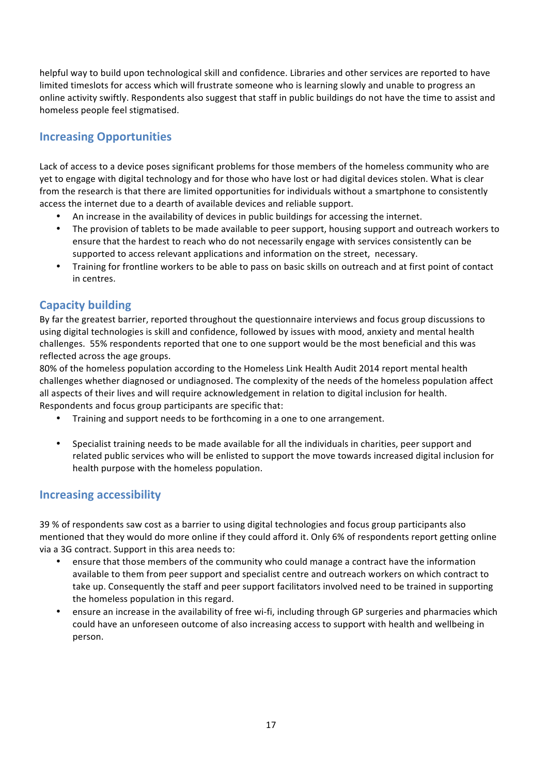helpful way to build upon technological skill and confidence. Libraries and other services are reported to have limited timeslots for access which will frustrate someone who is learning slowly and unable to progress an online activity swiftly. Respondents also suggest that staff in public buildings do not have the time to assist and homeless people feel stigmatised.

# **Increasing Opportunities**

Lack of access to a device poses significant problems for those members of the homeless community who are yet to engage with digital technology and for those who have lost or had digital devices stolen. What is clear from the research is that there are limited opportunities for individuals without a smartphone to consistently access the internet due to a dearth of available devices and reliable support.

- An increase in the availability of devices in public buildings for accessing the internet.
- The provision of tablets to be made available to peer support, housing support and outreach workers to ensure that the hardest to reach who do not necessarily engage with services consistently can be supported to access relevant applications and information on the street, necessary.
- Training for frontline workers to be able to pass on basic skills on outreach and at first point of contact in centres.

### **Capacity building**

By far the greatest barrier, reported throughout the questionnaire interviews and focus group discussions to using digital technologies is skill and confidence, followed by issues with mood, anxiety and mental health challenges. 55% respondents reported that one to one support would be the most beneficial and this was reflected across the age groups.

80% of the homeless population according to the Homeless Link Health Audit 2014 report mental health challenges whether diagnosed or undiagnosed. The complexity of the needs of the homeless population affect all aspects of their lives and will require acknowledgement in relation to digital inclusion for health. Respondents and focus group participants are specific that:

- Training and support needs to be forthcoming in a one to one arrangement.
- Specialist training needs to be made available for all the individuals in charities, peer support and related public services who will be enlisted to support the move towards increased digital inclusion for health purpose with the homeless population.

### **Increasing accessibility**

39 % of respondents saw cost as a barrier to using digital technologies and focus group participants also mentioned that they would do more online if they could afford it. Only 6% of respondents report getting online via a 3G contract. Support in this area needs to:

- ensure that those members of the community who could manage a contract have the information available to them from peer support and specialist centre and outreach workers on which contract to take up. Consequently the staff and peer support facilitators involved need to be trained in supporting the homeless population in this regard.
- ensure an increase in the availability of free wi-fi, including through GP surgeries and pharmacies which could have an unforeseen outcome of also increasing access to support with health and wellbeing in person.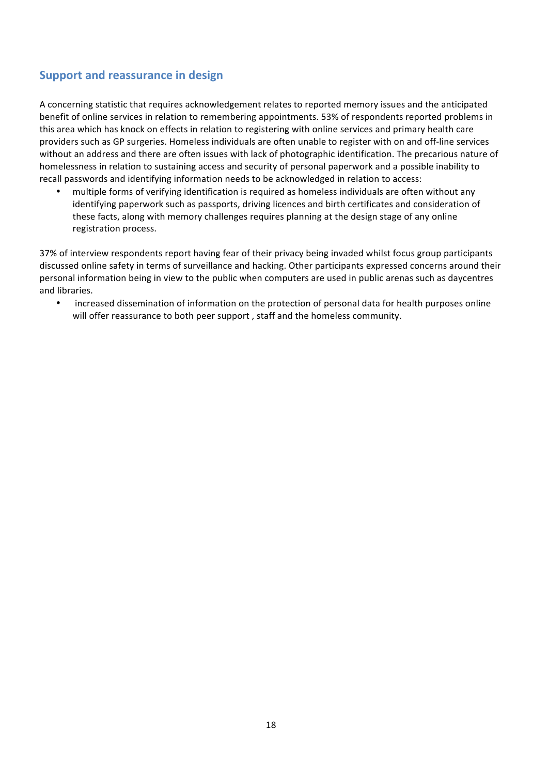## **Support and reassurance in design**

A concerning statistic that requires acknowledgement relates to reported memory issues and the anticipated benefit of online services in relation to remembering appointments. 53% of respondents reported problems in this area which has knock on effects in relation to registering with online services and primary health care providers such as GP surgeries. Homeless individuals are often unable to register with on and off-line services without an address and there are often issues with lack of photographic identification. The precarious nature of homelessness in relation to sustaining access and security of personal paperwork and a possible inability to recall passwords and identifying information needs to be acknowledged in relation to access:

• multiple forms of verifying identification is required as homeless individuals are often without any identifying paperwork such as passports, driving licences and birth certificates and consideration of these facts, along with memory challenges requires planning at the design stage of any online registration process.

37% of interview respondents report having fear of their privacy being invaded whilst focus group participants discussed online safety in terms of surveillance and hacking. Other participants expressed concerns around their personal information being in view to the public when computers are used in public arenas such as daycentres and libraries.

• increased dissemination of information on the protection of personal data for health purposes online will offer reassurance to both peer support , staff and the homeless community.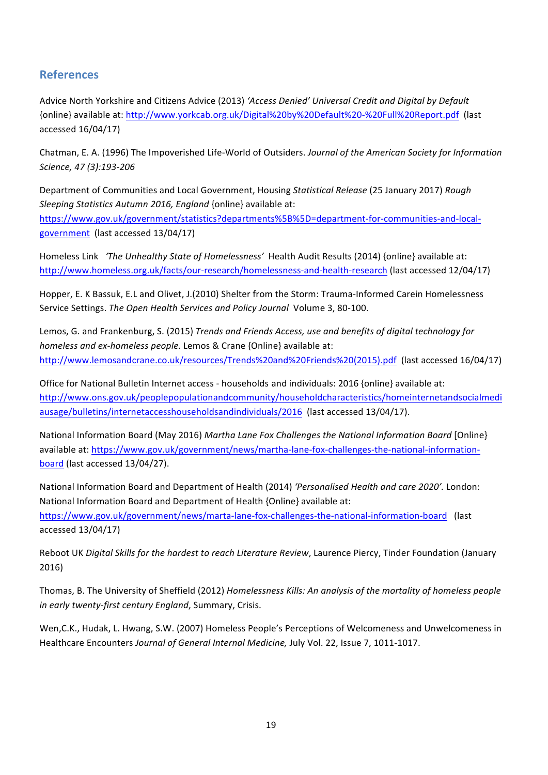## **References**

Advice North Yorkshire and Citizens Advice (2013) *'Access Denied' Universal Credit and Digital by Default* {online} available at: http://www.yorkcab.org.uk/Digital%20by%20Default%20-%20Full%20Report.pdf (last accessed 16/04/17)

Chatman, E. A. (1996) The Impoverished Life-World of Outsiders. *Journal of the American Society for Information Science, 47 (3):193-206*

Department of Communities and Local Government, Housing *Statistical Release* (25 January 2017) *Rough Sleeping Statistics Autumn 2016, England* {online} available at:

https://www.gov.uk/government/statistics?departments%5B%5D=department-for-communities-and-localgovernment (last accessed 13/04/17)

Homeless Link *'The Unhealthy State of Homelessness'* Health Audit Results (2014) {online} available at: http://www.homeless.org.uk/facts/our-research/homelessness-and-health-research (last accessed 12/04/17)

Hopper, E. K Bassuk, E.L and Olivet, J.(2010) Shelter from the Storm: Trauma-Informed Carein Homelessness Service Settings. *The Open Health Services and Policy Journal* Volume 3, 80-100.

Lemos, G. and Frankenburg, S. (2015) *Trends and Friends Access, use and benefits of digital technology for homeless and ex-homeless people.* Lemos & Crane {Online} available at: http://www.lemosandcrane.co.uk/resources/Trends%20and%20Friends%20(2015).pdf (last accessed 16/04/17)

Office for National Bulletin Internet access - households and individuals: 2016 {online} available at: http://www.ons.gov.uk/peoplepopulationandcommunity/householdcharacteristics/homeinternetandsocialmedi ausage/bulletins/internetaccesshouseholdsandindividuals/2016 (last accessed 13/04/17).

National Information Board (May 2016) *Martha Lane Fox Challenges the National Information Board* [Online} available at: https://www.gov.uk/government/news/martha-lane-fox-challenges-the-national-informationboard (last accessed 13/04/27).

National Information Board and Department of Health (2014) *'Personalised Health and care 2020'.* London: National Information Board and Department of Health {Online} available at: https://www.gov.uk/government/news/marta-lane-fox-challenges-the-national-information-board (last accessed 13/04/17)

Reboot UK *Digital Skills for the hardest to reach Literature Review*, Laurence Piercy, Tinder Foundation (January 2016)

Thomas, B. The University of Sheffield (2012) *Homelessness Kills: An analysis of the mortality of homeless people in early twenty-first century England*, Summary, Crisis.

Wen,C.K., Hudak, L. Hwang, S.W. (2007) Homeless People's Perceptions of Welcomeness and Unwelcomeness in Healthcare Encounters *Journal of General Internal Medicine,* July Vol. 22, Issue 7, 1011-1017.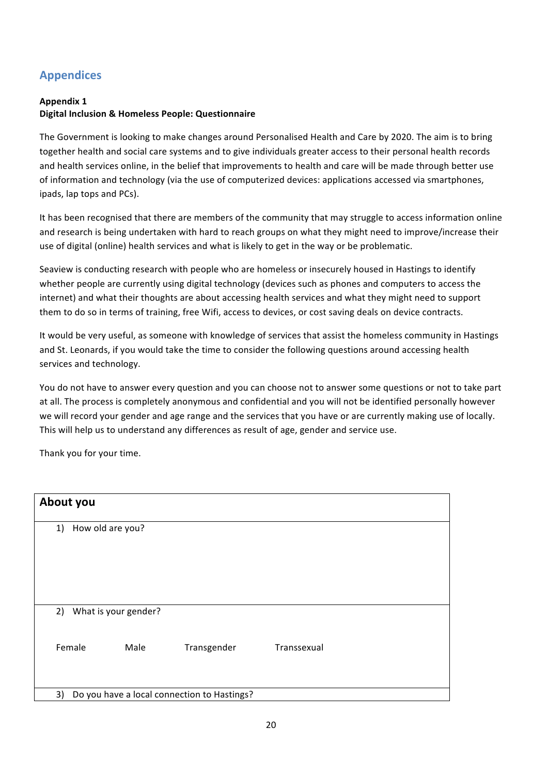# **Appendices**

#### **Appendix 1**

### **Digital Inclusion & Homeless People: Questionnaire**

The Government is looking to make changes around Personalised Health and Care by 2020. The aim is to bring together health and social care systems and to give individuals greater access to their personal health records and health services online, in the belief that improvements to health and care will be made through better use of information and technology (via the use of computerized devices: applications accessed via smartphones, ipads, lap tops and PCs).

It has been recognised that there are members of the community that may struggle to access information online and research is being undertaken with hard to reach groups on what they might need to improve/increase their use of digital (online) health services and what is likely to get in the way or be problematic.

Seaview is conducting research with people who are homeless or insecurely housed in Hastings to identify whether people are currently using digital technology (devices such as phones and computers to access the internet) and what their thoughts are about accessing health services and what they might need to support them to do so in terms of training, free Wifi, access to devices, or cost saving deals on device contracts.

It would be very useful, as someone with knowledge of services that assist the homeless community in Hastings and St. Leonards, if you would take the time to consider the following questions around accessing health services and technology.

You do not have to answer every question and you can choose not to answer some questions or not to take part at all. The process is completely anonymous and confidential and you will not be identified personally however we will record your gender and age range and the services that you have or are currently making use of locally. This will help us to understand any differences as result of age, gender and service use.

Thank you for your time.

| About you |                      |      |                                             |             |
|-----------|----------------------|------|---------------------------------------------|-------------|
| 1)        | How old are you?     |      |                                             |             |
| 2)        | What is your gender? |      |                                             |             |
|           | Female               | Male | Transgender                                 | Transsexual |
| 3)        |                      |      | Do you have a local connection to Hastings? |             |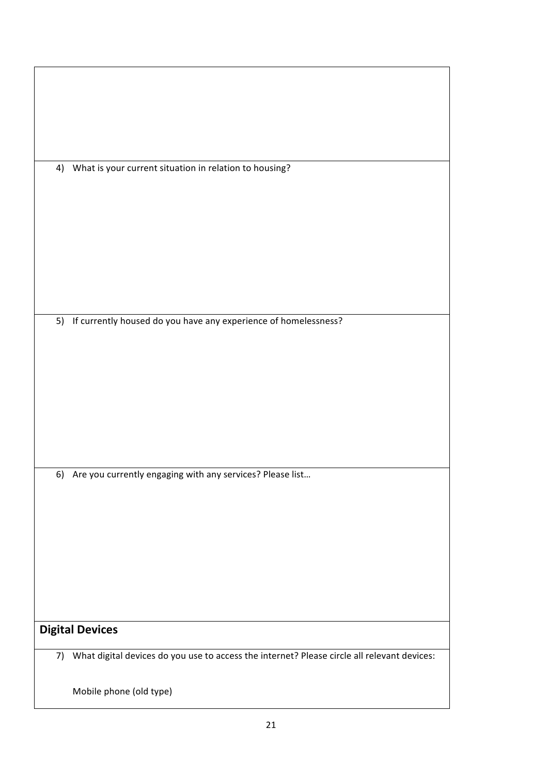| 4) | What is your current situation in relation to housing?                                         |
|----|------------------------------------------------------------------------------------------------|
|    |                                                                                                |
|    |                                                                                                |
|    |                                                                                                |
|    |                                                                                                |
|    |                                                                                                |
|    | 5) If currently housed do you have any experience of homelessness?                             |
|    |                                                                                                |
|    |                                                                                                |
|    |                                                                                                |
|    |                                                                                                |
|    |                                                                                                |
|    |                                                                                                |
|    | 6) Are you currently engaging with any services? Please list                                   |
|    |                                                                                                |
|    |                                                                                                |
|    |                                                                                                |
|    |                                                                                                |
|    |                                                                                                |
|    | <b>Digital Devices</b>                                                                         |
|    | 7) What digital devices do you use to access the internet? Please circle all relevant devices: |
|    |                                                                                                |
|    | Mobile phone (old type)                                                                        |

 $\overline{\phantom{a}}$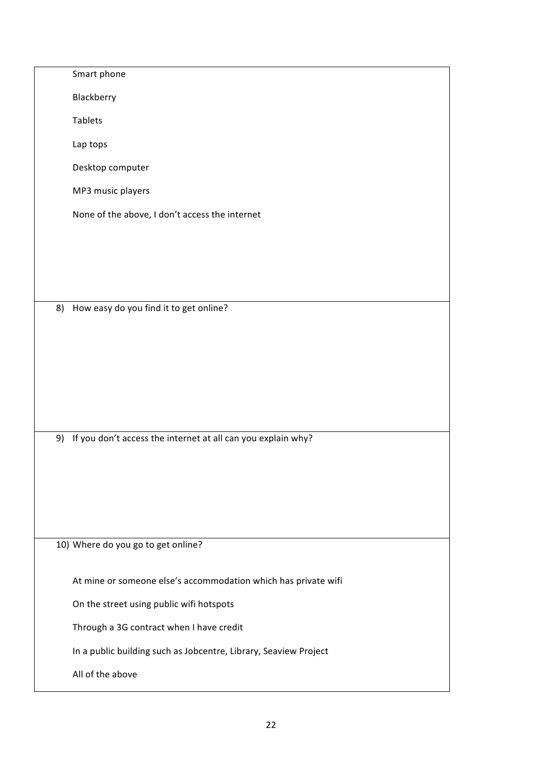|    | Smart phone                                                      |
|----|------------------------------------------------------------------|
|    | Blackberry                                                       |
|    | Tablets                                                          |
|    | Lap tops                                                         |
|    | Desktop computer                                                 |
|    | MP3 music players                                                |
|    | None of the above, I don't access the internet                   |
|    |                                                                  |
|    |                                                                  |
|    |                                                                  |
| 8) | How easy do you find it to get online?                           |
|    |                                                                  |
|    |                                                                  |
|    |                                                                  |
|    |                                                                  |
|    |                                                                  |
|    | 9) If you don't access the internet at all can you explain why?  |
|    |                                                                  |
|    |                                                                  |
|    |                                                                  |
|    |                                                                  |
|    | 10) Where do you go to get online?                               |
|    | At mine or someone else's accommodation which has private wifi   |
|    | On the street using public wifi hotspots                         |
|    | Through a 3G contract when I have credit                         |
|    | In a public building such as Jobcentre, Library, Seaview Project |
|    | All of the above                                                 |
|    |                                                                  |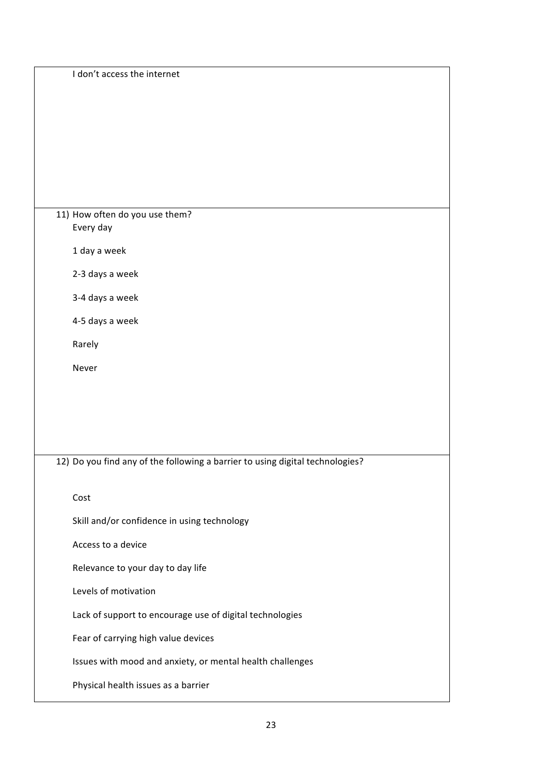| I don't access the internet                                                   |
|-------------------------------------------------------------------------------|
|                                                                               |
| 11) How often do you use them?<br>Every day                                   |
| 1 day a week                                                                  |
| 2-3 days a week                                                               |
| 3-4 days a week                                                               |
| 4-5 days a week                                                               |
| Rarely                                                                        |
| Never                                                                         |
|                                                                               |
|                                                                               |
|                                                                               |
| 12) Do you find any of the following a barrier to using digital technologies? |
| Cost                                                                          |
| Skill and/or confidence in using technology                                   |
| Access to a device                                                            |
| Relevance to your day to day life                                             |
| Levels of motivation                                                          |
| Lack of support to encourage use of digital technologies                      |
| Fear of carrying high value devices                                           |
| Issues with mood and anxiety, or mental health challenges                     |
| Physical health issues as a barrier                                           |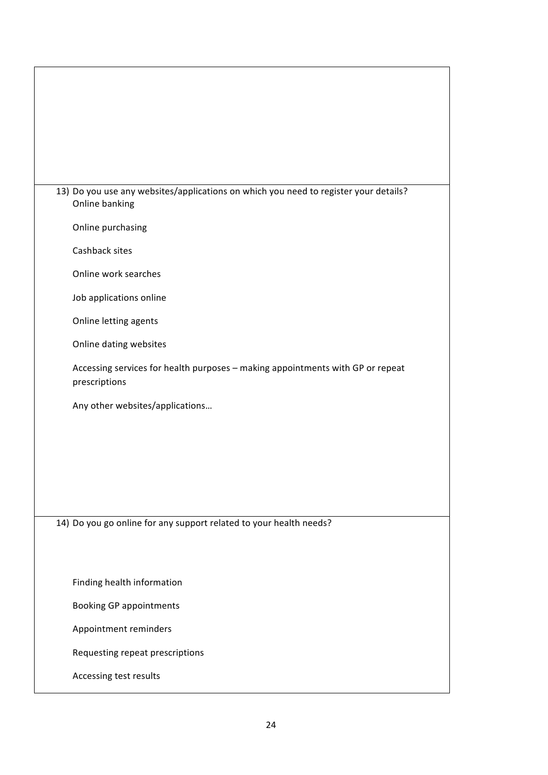| 13) Do you use any websites/applications on which you need to register your details?<br>Online banking |
|--------------------------------------------------------------------------------------------------------|
| Online purchasing                                                                                      |
| Cashback sites                                                                                         |
| Online work searches                                                                                   |
| Job applications online                                                                                |
| Online letting agents                                                                                  |
| Online dating websites                                                                                 |
| Accessing services for health purposes - making appointments with GP or repeat<br>prescriptions        |
| Any other websites/applications                                                                        |
|                                                                                                        |
|                                                                                                        |
|                                                                                                        |
|                                                                                                        |
| 14) Do you go online for any support related to your health needs?                                     |
|                                                                                                        |
| Finding health information                                                                             |
|                                                                                                        |
| <b>Booking GP appointments</b>                                                                         |
| Appointment reminders                                                                                  |
| Requesting repeat prescriptions                                                                        |
| Accessing test results                                                                                 |

 $\mathbf{I}$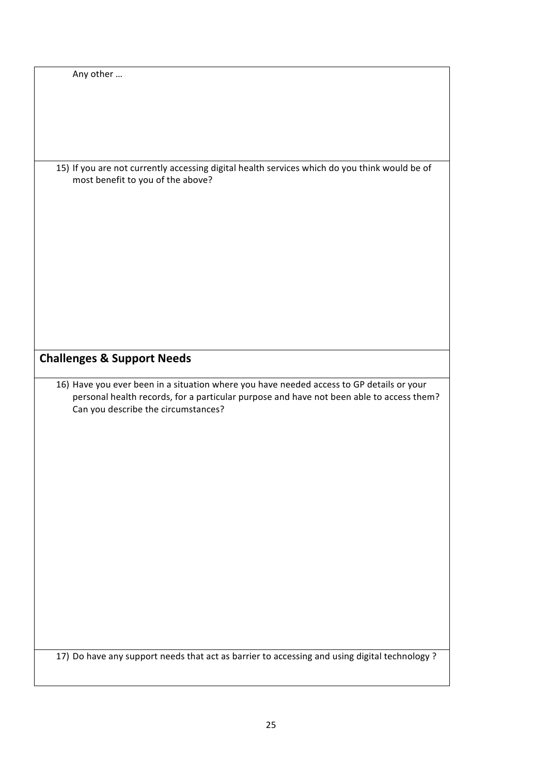| Any other                                                                                     |
|-----------------------------------------------------------------------------------------------|
|                                                                                               |
|                                                                                               |
|                                                                                               |
|                                                                                               |
|                                                                                               |
|                                                                                               |
|                                                                                               |
|                                                                                               |
|                                                                                               |
| 15) If you are not currently accessing digital health services which do you think would be of |
| most benefit to you of the above?                                                             |
|                                                                                               |
|                                                                                               |
|                                                                                               |
|                                                                                               |
|                                                                                               |
|                                                                                               |
|                                                                                               |
|                                                                                               |
|                                                                                               |
|                                                                                               |
|                                                                                               |
|                                                                                               |
|                                                                                               |
|                                                                                               |
|                                                                                               |
|                                                                                               |
|                                                                                               |
|                                                                                               |
|                                                                                               |
| <b>Challenges &amp; Support Needs</b>                                                         |
|                                                                                               |
|                                                                                               |
|                                                                                               |
| 16) Have you ever been in a situation where you have needed access to GP details or your      |
|                                                                                               |
| personal health records, for a particular purpose and have not been able to access them?      |
| Can you describe the circumstances?                                                           |
|                                                                                               |
|                                                                                               |
|                                                                                               |
|                                                                                               |
|                                                                                               |
|                                                                                               |
|                                                                                               |
|                                                                                               |
|                                                                                               |
|                                                                                               |
|                                                                                               |
|                                                                                               |
|                                                                                               |
|                                                                                               |
|                                                                                               |
|                                                                                               |
|                                                                                               |
|                                                                                               |
|                                                                                               |
|                                                                                               |
|                                                                                               |
|                                                                                               |
|                                                                                               |
|                                                                                               |
|                                                                                               |
|                                                                                               |
| 17) Do have any support needs that act as barrier to accessing and using digital technology?  |
|                                                                                               |
|                                                                                               |
|                                                                                               |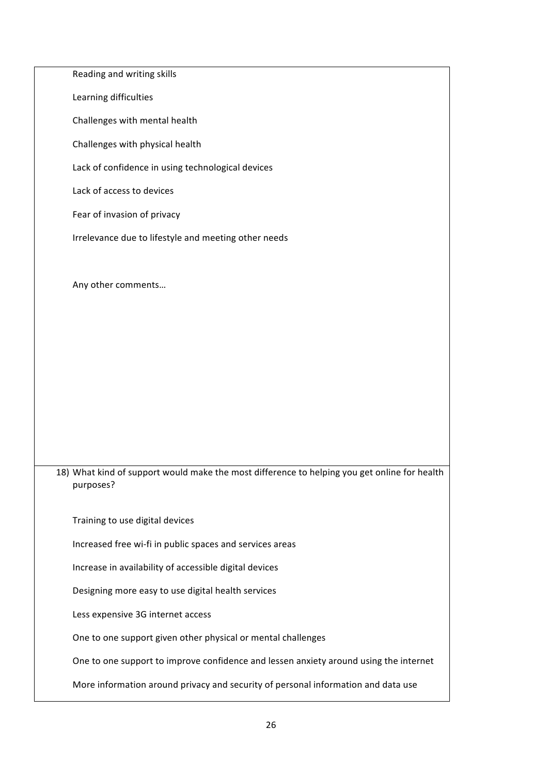| Reading and writing skills                                                                                |
|-----------------------------------------------------------------------------------------------------------|
| Learning difficulties                                                                                     |
| Challenges with mental health                                                                             |
| Challenges with physical health                                                                           |
| Lack of confidence in using technological devices                                                         |
| Lack of access to devices                                                                                 |
| Fear of invasion of privacy                                                                               |
| Irrelevance due to lifestyle and meeting other needs                                                      |
|                                                                                                           |
| Any other comments                                                                                        |
|                                                                                                           |
|                                                                                                           |
|                                                                                                           |
|                                                                                                           |
|                                                                                                           |
|                                                                                                           |
|                                                                                                           |
| 18) What kind of support would make the most difference to helping you get online for health<br>purposes? |
| Training to use digital devices                                                                           |
| Increased free wi-fi in public spaces and services areas                                                  |
| Increase in availability of accessible digital devices                                                    |
| Designing more easy to use digital health services                                                        |
| Less expensive 3G internet access                                                                         |
| One to one support given other physical or mental challenges                                              |
| One to one support to improve confidence and lessen anxiety around using the internet                     |
| More information around privacy and security of personal information and data use                         |
|                                                                                                           |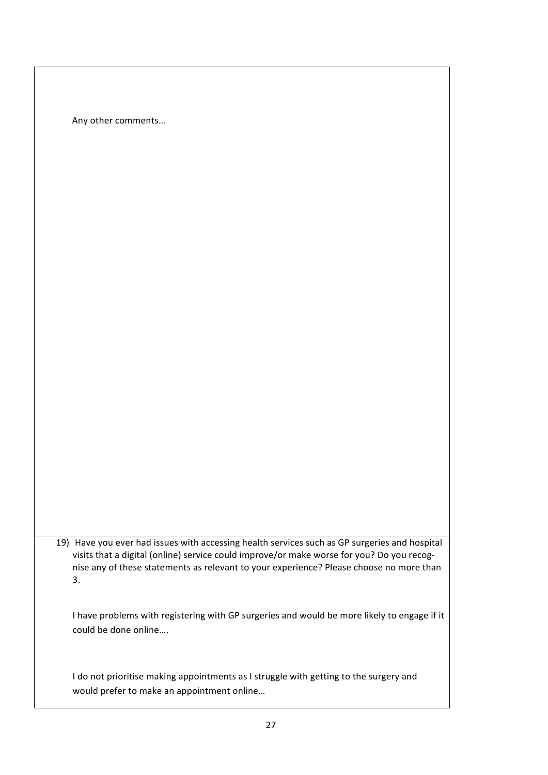Any other comments…

19) Have you ever had issues with accessing health services such as GP surgeries and hospital visits that a digital (online) service could improve/or make worse for you? Do you recognise any of these statements as relevant to your experience? Please choose no more than 3.

I have problems with registering with GP surgeries and would be more likely to engage if it could be done online….

I do not prioritise making appointments as I struggle with getting to the surgery and would prefer to make an appointment online…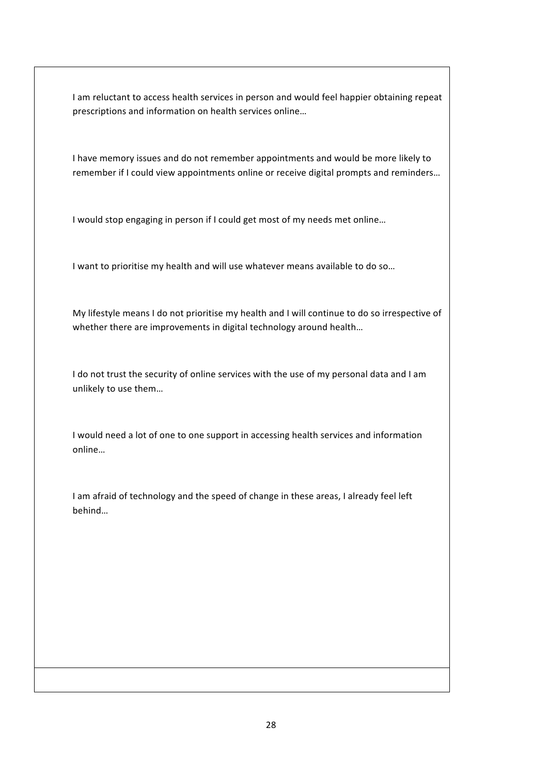I am reluctant to access health services in person and would feel happier obtaining repeat prescriptions and information on health services online…

I have memory issues and do not remember appointments and would be more likely to remember if I could view appointments online or receive digital prompts and reminders…

I would stop engaging in person if I could get most of my needs met online…

I want to prioritise my health and will use whatever means available to do so…

My lifestyle means I do not prioritise my health and I will continue to do so irrespective of whether there are improvements in digital technology around health...

I do not trust the security of online services with the use of my personal data and I am unlikely to use them…

I would need a lot of one to one support in accessing health services and information online…

I am afraid of technology and the speed of change in these areas, I already feel left behind…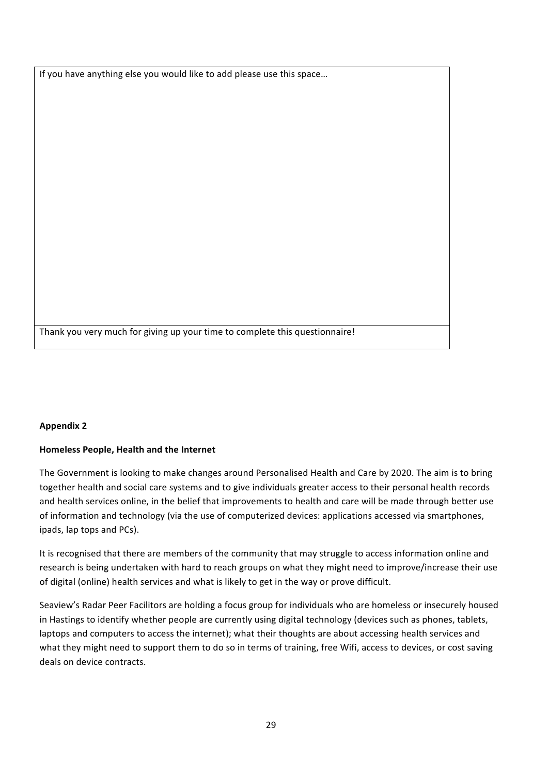If you have anything else you would like to add please use this space…

Thank you very much for giving up your time to complete this questionnaire!

#### **Appendix 2**

#### **Homeless People, Health and the Internet**

The Government is looking to make changes around Personalised Health and Care by 2020. The aim is to bring together health and social care systems and to give individuals greater access to their personal health records and health services online, in the belief that improvements to health and care will be made through better use of information and technology (via the use of computerized devices: applications accessed via smartphones, ipads, lap tops and PCs).

It is recognised that there are members of the community that may struggle to access information online and research is being undertaken with hard to reach groups on what they might need to improve/increase their use of digital (online) health services and what is likely to get in the way or prove difficult.

Seaview's Radar Peer Facilitors are holding a focus group for individuals who are homeless or insecurely housed in Hastings to identify whether people are currently using digital technology (devices such as phones, tablets, laptops and computers to access the internet); what their thoughts are about accessing health services and what they might need to support them to do so in terms of training, free Wifi, access to devices, or cost saving deals on device contracts.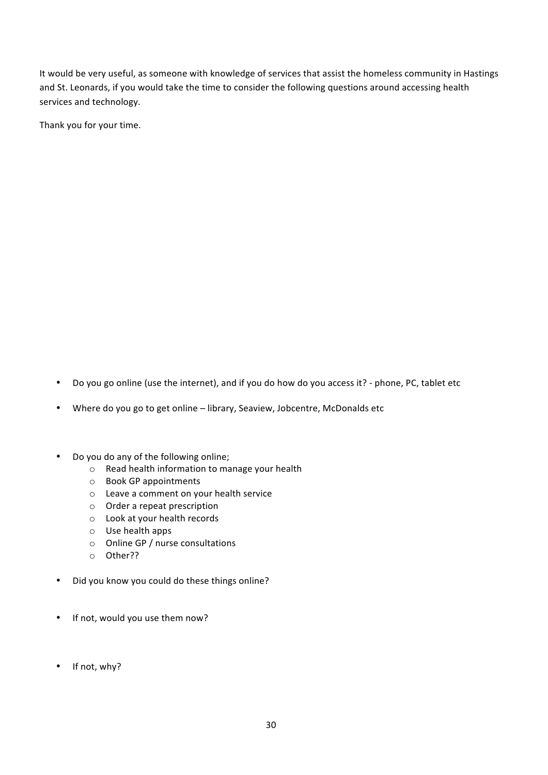It would be very useful, as someone with knowledge of services that assist the homeless community in Hastings and St. Leonards, if you would take the time to consider the following questions around accessing health services and technology.

Thank you for your time.

• Do you go online (use the internet), and if you do how do you access it? - phone, PC, tablet etc

• Where do you go to get online – library, Seaview, Jobcentre, McDonalds etc

- Do you do any of the following online;
	- o Read health information to manage your health
	- o Book GP appointments
	- o Leave a comment on your health service
	- o Order a repeat prescription
	- o Look at your health records
	- o Use health apps
	- o Online GP / nurse consultations
	- o Other??
- Did you know you could do these things online?
- If not, would you use them now?
- If not, why?